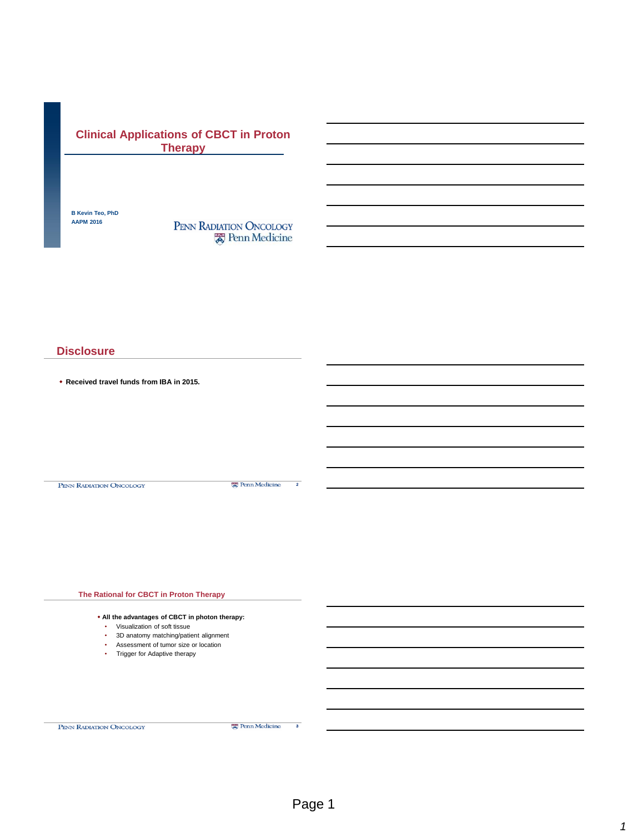## **Clinical Applications of CBCT in Proton Therapy**

**B Kevin Teo, PhD AAPM 2016**

PENN RADIATION ONCOLOGY **R** Penn Medicine

#### **Disclosure**

**Received travel funds from IBA in 2015.**

PENN RADIATION ONCOLOGY

Penn Medicine 2

**The Rational for CBCT in Proton Therapy All the advantages of CBCT in photon therapy:**  • Visualization of soft tissue • 3D anatomy matching/patient alignment • Assessment of tumor size or location • Trigger for Adaptive therapy

PENN RADIATION ONCOLOGY

**E** Penn Medicine

3

*1*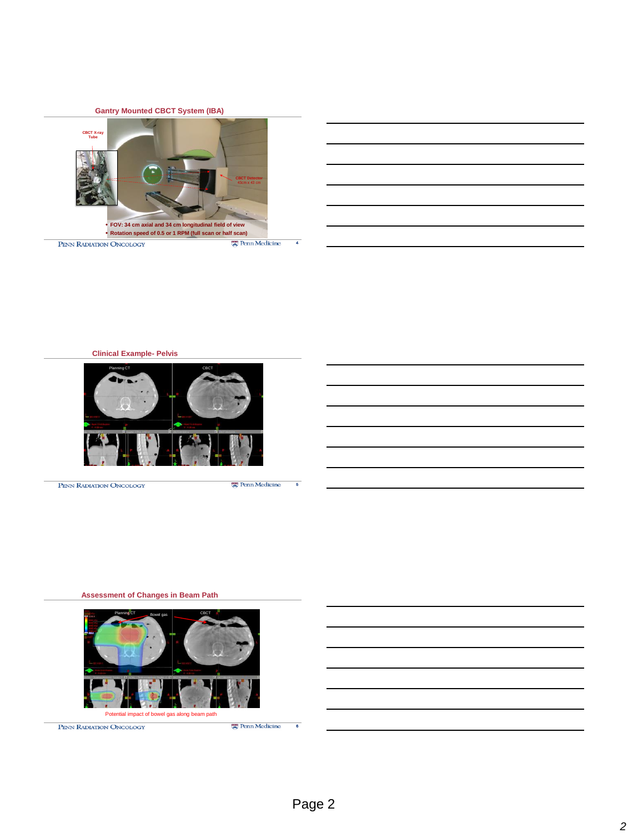**Gantry Mounted CBCT System (IBA)**







PENN RADIATION ONCOLOGY

需 Penn Medicine

5

#### **Assessment of Changes in Beam Path**



PENN RADIATION ONCOLOGY

6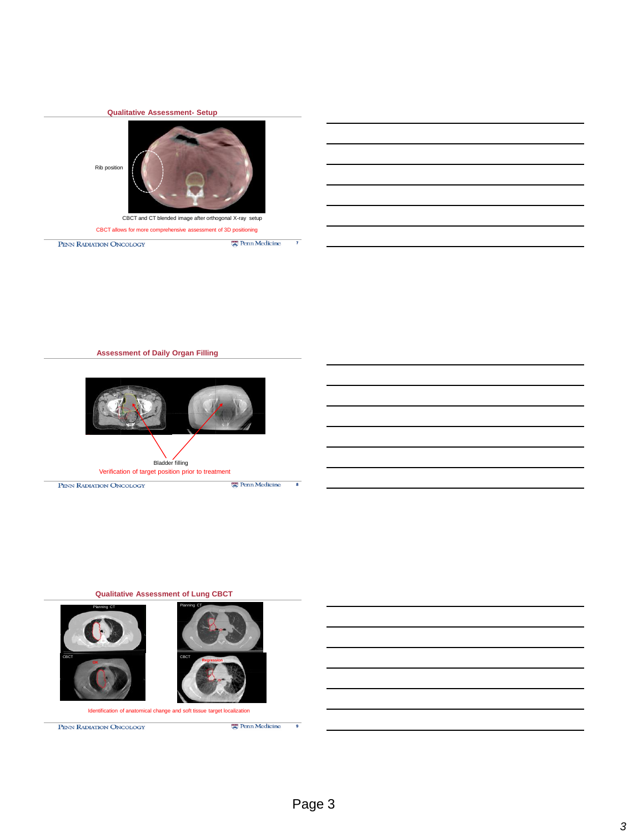

**Assessment of Daily Organ Filling**



**Qualitative Assessment of Lung CBCT**



PENN RADIATION ONCOLOGY

9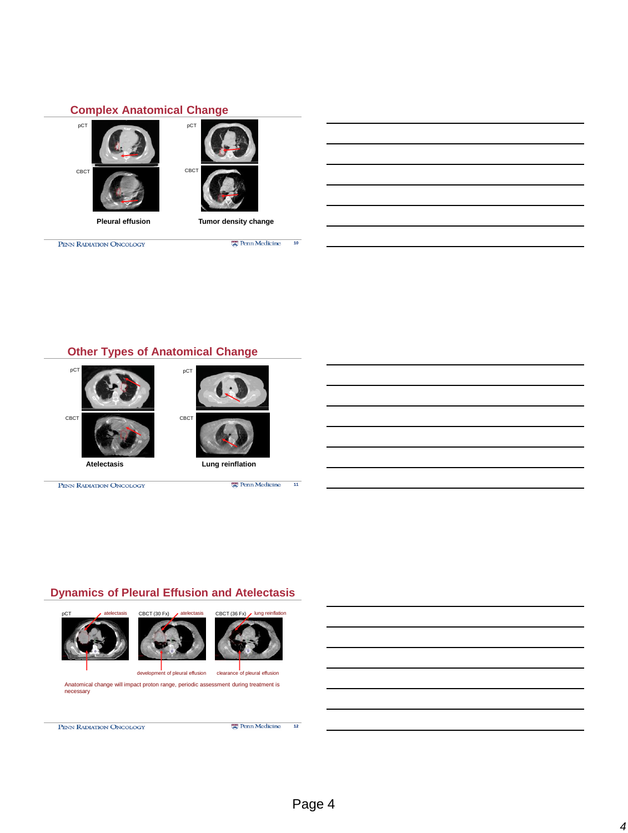#### **Complex Anatomical Change**





PENN RADIATION ONCOLOGY

Penn Medicine

10

#### **Other Types of Anatomical Change**



PENN RADIATION ONCOLOGY



**Ex** Penn Medicine 11

# **Dynamics of Pleural Effusion and Atelectasis**







development of pleural effusion clearance of pleural effusion Anatomical change will impact proton range, periodic assessment during treatment is necessary

PENN RADIATION ONCOLOGY

**E** Penn Medicine  $\overline{12}$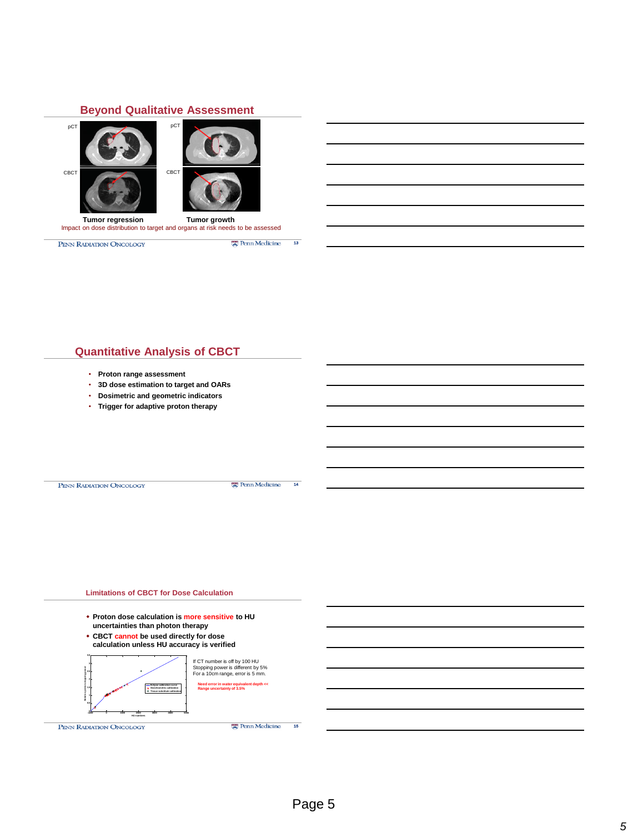#### **Beyond Qualitative Assessment**



PENN RADIATION ONCOLOGY

**E** Penn Medicine 13

#### **Quantitative Analysis of CBCT**

- **Proton range assessment**
- **3D dose estimation to target and OARs**
- **Dosimetric and geometric indicators**
- **Trigger for adaptive proton therapy**

PENN RADIATION ONCOLOGY

需 Penn Medicine

14

#### **Limitations of CBCT for Dose Calculation**

- **Proton dose calculation is more sensitive to HU uncertainties than photon therapy**
- **CBCT cannot be used directly for dose calculation unless HU accuracy is verified**



PENN RADIATION ONCOLOGY

15

需 Penn Medicine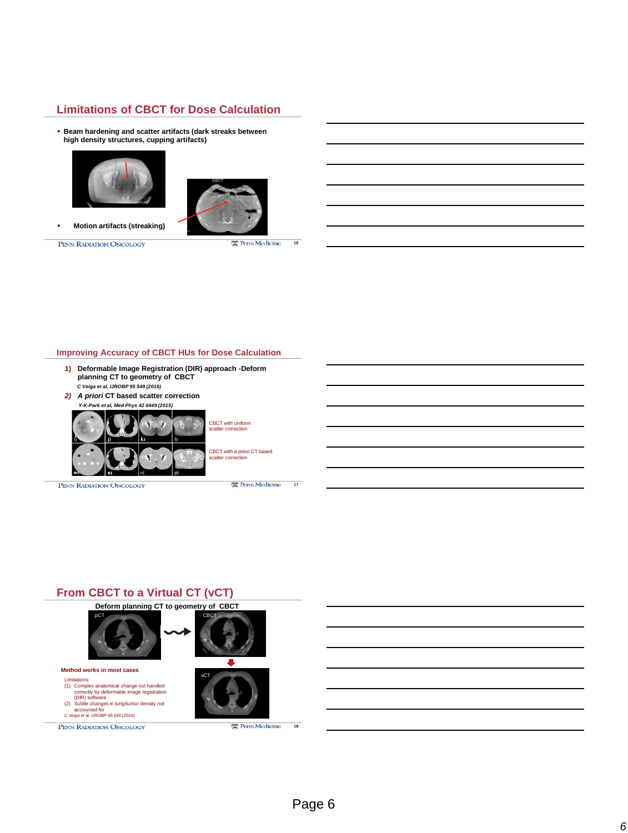#### **Limitations of CBCT for Dose Calculation**

 **Beam hardening and scatter artifacts (dark streaks between high density structures, cupping artifacts)**





 **Motion artifacts (streaking)**

PENN RADIATION ONCOLOGY

**E** Penn Medicine 16

#### **Improving Accuracy of CBCT HUs for Dose Calculation**

- **1) Deformable Image Registration (DIR) approach -Deform planning CT to geometry of CBCT** *C Veiga et al, IJROBP 95 549 (2016)*
- *2) A priori* **CT based scatter correction** *Y-K-Park et al, Med Phys 42 4449 (2015)*



PENN RADIATION ONCOLOGY

CBCT with *a priori* CT based scatter correction

scatter correction

**Penn Medicine** 

17

## **From CBCT to a Virtual CT (vCT)**

#### **Deform planning CT to geometry of CBCT**







Limitations:<br>
(1) Complex anatomical change not handled<br>
correctly by deformable image registration<br>
(DIR) software<br>
(2) Subtle changes in lung/tumor density not<br>
accounted for<br>
C Veiga et al. UROBP 95 549 (2016)

PENN RADIATION ONCOLOGY

**Method works in most cases**



Page 6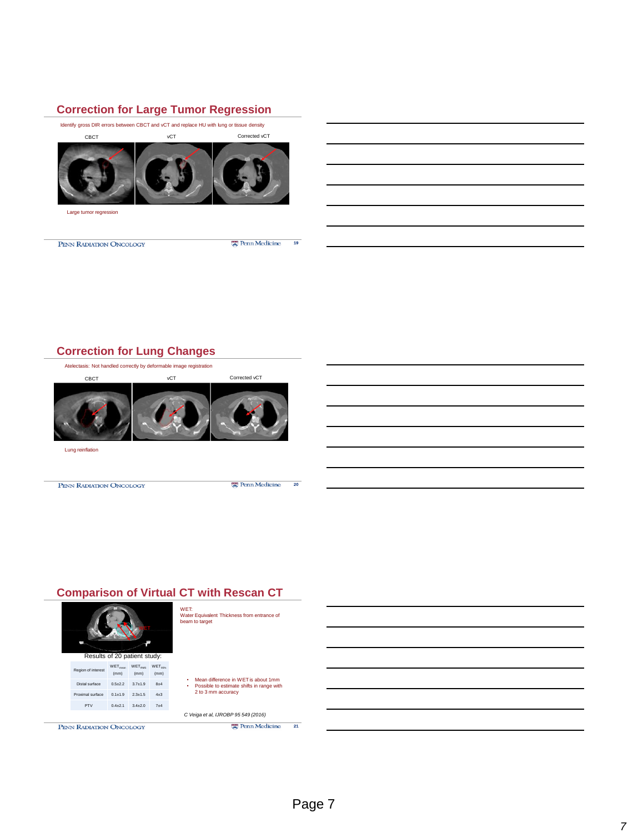### **Correction for Large Tumor Regression**

Identify gross DIR errors between CBCT and vCT and replace HU with lung or tissue density vCT Corrected vCT CBCT Large tumor regression Penn Medicine  $19$ PENN RADIATION ONCOLOGY

## **Correction for Lung Changes**

Atelectasis: Not handled correctly by deformable image registration CBCT vCT Corrected vCT Lung reinflation 需 Penn Medicine PENN RADIATION ONCOLOGY 20

## **Comparison of Virtual CT with Rescan CT**

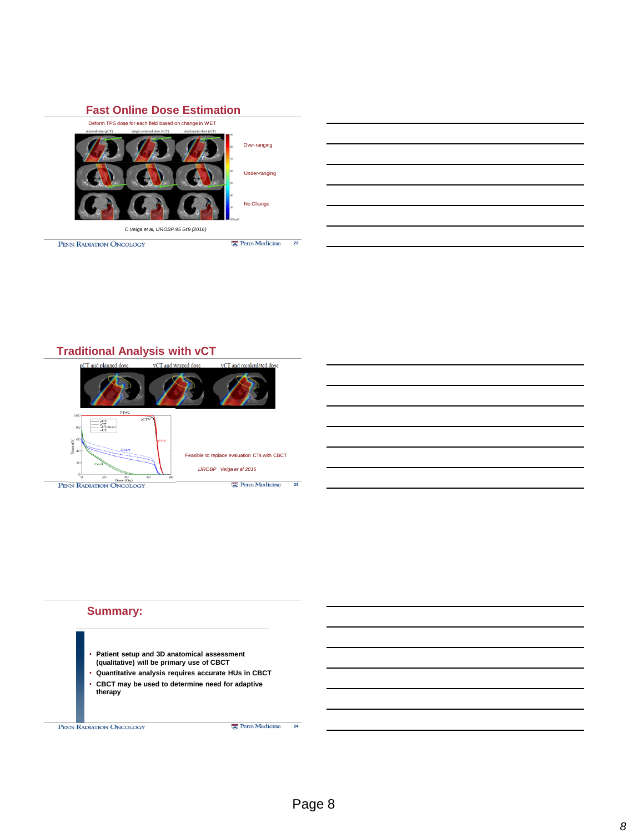



### **Traditional Analysis with vCT**





#### **Summary:**

- **Patient setup and 3D anatomical assessment (qualitative) will be primary use of CBCT**
- **Quantitative analysis requires accurate HUs in CBCT**  • **CBCT may be used to determine need for adaptive therapy**

**PENN RADIATION ONCOLOGY** 

24

**Penn Medicine**